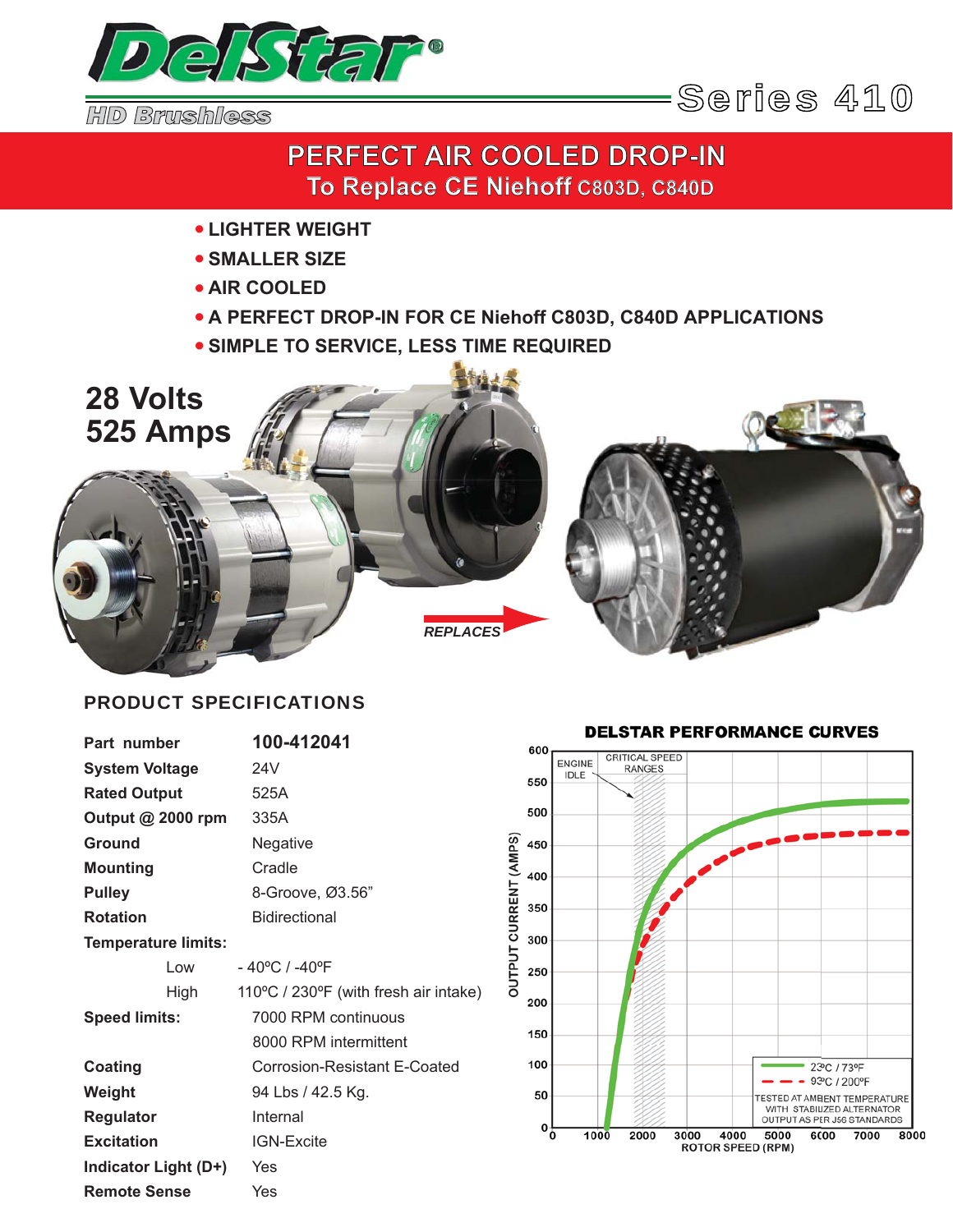

# **PERFECT AIR COOLED DROP-IN To Replace CE Niehoff C803D, C840D**

- **LIGHTER WEIGHT** •
- **SMALLER SIZE**  •
- **AIR COOLED** •
- **A PERFECT DROP-IN FOR CE Niehoff C803D, C840D APPLICATIONS** •
- **SIMPLE TO SERVICE, LESS TIME REQUIRED** •



## PRODUCT SPECIFICATIONS

| Part number                | 100-412041                            |
|----------------------------|---------------------------------------|
| <b>System Voltage</b>      | 24V                                   |
| <b>Rated Output</b>        | 525A                                  |
| Output @ 2000 rpm          | 335A                                  |
| Ground                     | Negative                              |
| <b>Mounting</b>            | Cradle                                |
| <b>Pulley</b>              | 8-Groove, Ø3.56"                      |
| <b>Rotation</b>            | <b>Bidirectional</b>                  |
| <b>Temperature limits:</b> |                                       |
| Low                        | $-40^{\circ}$ C / -40 $^{\circ}$ F    |
| High                       | 110°C / 230°F (with fresh air intake) |
| <b>Speed limits:</b>       | 7000 RPM continuous                   |
|                            | 8000 RPM intermittent                 |
| Coating                    | Corrosion-Resistant E-Coated          |
| Weight                     | 94 Lbs / 42.5 Kg.                     |
| <b>Regulator</b>           | Internal                              |
| <b>Excitation</b>          | <b>IGN-Excite</b>                     |
| Indicator Light (D+)       | Yes                                   |
| <b>Remote Sense</b>        | Yes                                   |

### **DELSTAR PERFORMANCE CURVES**